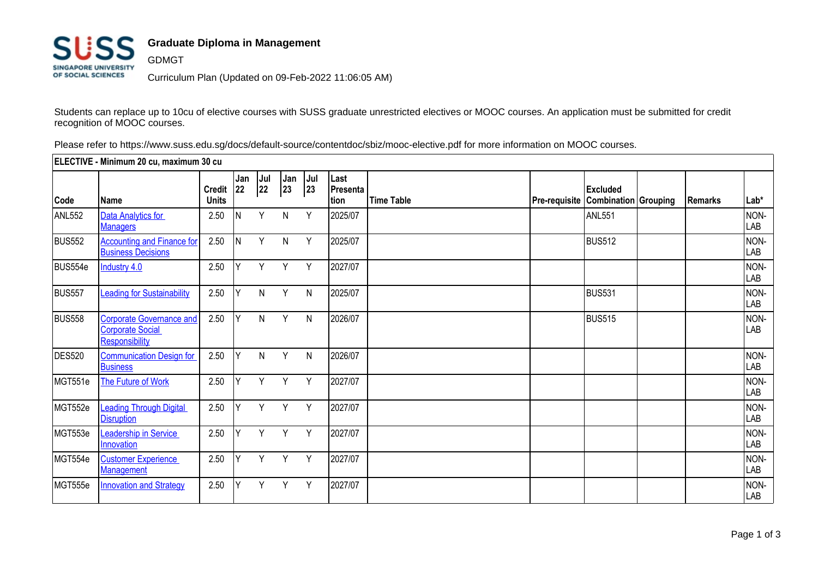

## **Graduate Diploma in Management**

GDMGT Curriculum Plan (Updated on 09-Feb-2022 11:06:05 AM)

Students can replace up to 10cu of elective courses with SUSS graduate unrestricted electives or MOOC courses. An application must be submitted for credit recognition of MOOC courses.

Please refer to https://www.suss.edu.sg/docs/default-source/contentdoc/sbiz/mooc-elective.pdf for more information on MOOC courses.

| ELECTIVE - Minimum 20 cu, maximum 30 cu |                                                                              |                               |           |           |           |                |                          |                   |  |                                                       |         |                    |
|-----------------------------------------|------------------------------------------------------------------------------|-------------------------------|-----------|-----------|-----------|----------------|--------------------------|-------------------|--|-------------------------------------------------------|---------|--------------------|
| Code                                    | <b>Name</b>                                                                  | <b>Credit</b><br><b>Units</b> | Jan<br>22 | Jul<br>22 | Jan<br>23 | $ J$ ul<br> 23 | Last<br>Presenta<br>tion | <b>Time Table</b> |  | <b>Excluded</b><br>Pre-requisite Combination Grouping | Remarks | Lab*               |
| ANL552                                  | Data Analytics for<br><b>Managers</b>                                        | 2.50                          | N         | Y         | Ν         | Y              | 2025/07                  |                   |  | <b>ANL551</b>                                         |         | NON-<br>LAB        |
| <b>BUS552</b>                           | <b>Accounting and Finance for</b><br><b>Business Decisions</b>               | 2.50                          | İΝ        | Y         | N         | Y              | 2025/07                  |                   |  | <b>BUS512</b>                                         |         | NON-<br>LAB        |
| BUS554e                                 | <b>Industry 4.0</b>                                                          | 2.50                          |           | Υ         | Y         | Y              | 2027/07                  |                   |  |                                                       |         | NON-<br>LAB        |
| <b>BUS557</b>                           | <b>Leading for Sustainability</b>                                            | 2.50                          | Y         | N         | Y         | N              | 2025/07                  |                   |  | <b>BUS531</b>                                         |         | NON-<br>LAB        |
| <b>BUS558</b>                           | <b>Corporate Governance and</b><br><b>Corporate Social</b><br>Responsibility | 2.50                          | Y         | N         | Y         | N              | 2026/07                  |                   |  | <b>BUS515</b>                                         |         | NON-<br><b>LAB</b> |
| <b>DES520</b>                           | <b>Communication Design for</b><br><b>Business</b>                           | 2.50                          | lΥ        | N         | Y         | N              | 2026/07                  |                   |  |                                                       |         | NON-<br>LAB        |
| MGT551e                                 | The Future of Work                                                           | 2.50                          | Y         | Y         | Y         | Y              | 2027/07                  |                   |  |                                                       |         | NON-<br>LAB        |
| MGT552e                                 | <b>Leading Through Digital</b><br><b>Disruption</b>                          | 2.50                          | lΥ        | Y         | Y         | Y              | 2027/07                  |                   |  |                                                       |         | NON-<br>LAB        |
| MGT553e                                 | Leadership in Service<br>Innovation                                          | 2.50                          | Y         | Y         | Y         | Y              | 2027/07                  |                   |  |                                                       |         | NON-<br>LAB        |
| MGT554e                                 | <b>Customer Experience</b><br>Management                                     | 2.50                          | Y         | Y         | Y         | Y              | 2027/07                  |                   |  |                                                       |         | NON-<br>LAB        |
| MGT555e                                 | <b>Innovation and Strategy</b>                                               | 2.50                          | Υ         | Υ         | Y         | Y              | 2027/07                  |                   |  |                                                       |         | NON-<br>LAB        |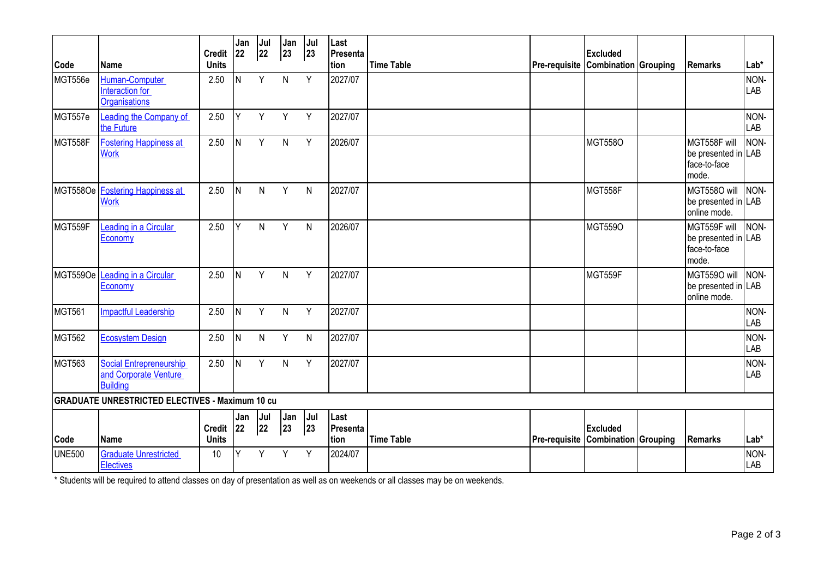|                                                        |                                                                     | <b>Credit</b>             | Jan<br> 22 | Jul<br>22 | Jan<br>$ 23\rangle$ | Jul<br>23 | Last<br>Presenta                 |                   |                                    | <b>Excluded</b> |  |                                                              |                    |
|--------------------------------------------------------|---------------------------------------------------------------------|---------------------------|------------|-----------|---------------------|-----------|----------------------------------|-------------------|------------------------------------|-----------------|--|--------------------------------------------------------------|--------------------|
| Code                                                   | <b>Name</b>                                                         | <b>Units</b>              |            |           |                     |           | tion                             | <b>Time Table</b> | Pre-requisite Combination Grouping |                 |  | Remarks                                                      | Lab*               |
| MGT556e                                                | Human-Computer<br>Interaction for<br>Organisations                  | 2.50                      | IN.        | Y         | $\mathsf{N}$        | Y         | 2027/07                          |                   |                                    |                 |  |                                                              | NON-<br><b>LAB</b> |
| MGT557e                                                | Leading the Company of<br>the Future                                | 2.50                      | Y          | Y         | Y                   | Y         | 2027/07                          |                   |                                    |                 |  |                                                              | NON-<br>LAB        |
| MGT558F                                                | <b>Fostering Happiness at</b><br><b>Work</b>                        | 2.50                      | N          | Y         | $\mathsf{N}$        | Y         | 2026/07                          |                   |                                    | <b>MGT558O</b>  |  | MGT558F will<br>be presented in LAB<br>face-to-face<br>mode. | NON-               |
| MGT558Oe                                               | <b>Fostering Happiness at</b><br><b>Work</b>                        | 2.50                      | IN.        | N         | Y                   | N         | 2027/07                          |                   |                                    | MGT558F         |  | MGT558O will<br>be presented in LAB<br>online mode.          | NON-               |
| MGT559F                                                | Leading in a Circular<br>Economy                                    | 2.50                      | Y          | N         | Y                   | N         | 2026/07                          |                   |                                    | <b>MGT559O</b>  |  | MGT559F will<br>be presented in LAB<br>face-to-face<br>mode. | NON-               |
| MGT559Oe                                               | Leading in a Circular<br>Economy                                    | 2.50                      | IN.        | Y         | $\mathsf{N}$        | Y         | 2027/07                          |                   |                                    | MGT559F         |  | MGT5590 will<br>be presented in LAB<br>online mode.          | NON-               |
| MGT561                                                 | <b>Impactful Leadership</b>                                         | 2.50                      | IN.        | Y         | $\mathsf{N}$        | Y         | 2027/07                          |                   |                                    |                 |  |                                                              | NON-<br>LAB        |
| <b>MGT562</b>                                          | <b>Ecosystem Design</b>                                             | 2.50                      | IN.        | N         | Y                   | N         | 2027/07                          |                   |                                    |                 |  |                                                              | NON-<br>LAB        |
| MGT563                                                 | Social Entrepreneurship<br>and Corporate Venture<br><b>Building</b> | 2.50                      | IN.        | Y         | $\mathsf{N}$        | Y         | 2027/07                          |                   |                                    |                 |  |                                                              | NON-<br>LAB        |
| <b>GRADUATE UNRESTRICTED ELECTIVES - Maximum 10 cu</b> |                                                                     |                           |            |           |                     |           |                                  |                   |                                    |                 |  |                                                              |                    |
| Code                                                   | <b>Name</b>                                                         | Credit 22<br><b>Units</b> | Jan        | Jul<br>22 | Jan<br>23           | Jul<br>23 | Last<br>Presenta<br><b>Ition</b> | <b>Time Table</b> | Pre-requisite Combination Grouping | <b>Excluded</b> |  | Remarks                                                      | Lab*               |
| <b>UNE500</b>                                          | <b>Graduate Unrestricted</b><br><b>Electives</b>                    | 10                        | ٧          | Y         | Y                   | Y         | 2024/07                          |                   |                                    |                 |  |                                                              | NON-<br><b>LAB</b> |

\* Students will be required to attend classes on day of presentation as well as on weekends or all classes may be on weekends.